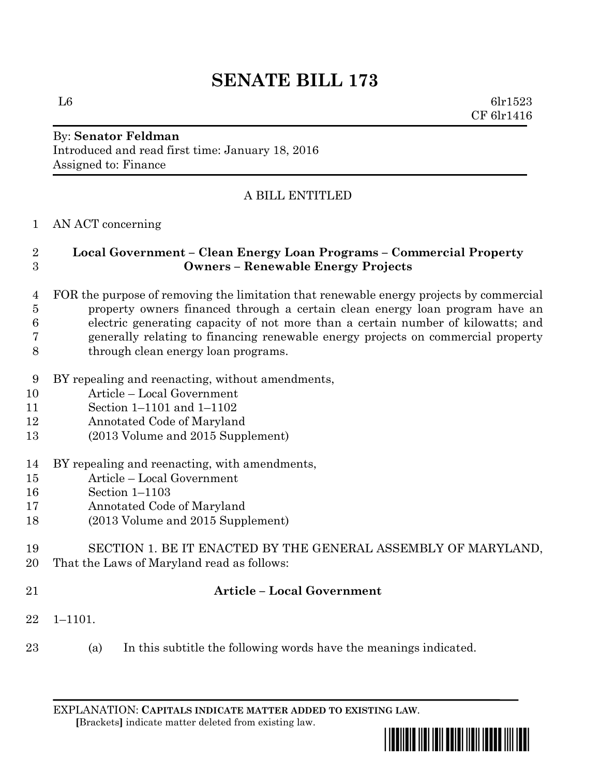# **SENATE BILL 173**

L6 6lr1523 CF 6lr1416

#### By: **Senator Feldman** Introduced and read first time: January 18, 2016 Assigned to: Finance

## A BILL ENTITLED

### AN ACT concerning

### **Local Government – Clean Energy Loan Programs – Commercial Property Owners – Renewable Energy Projects**

- FOR the purpose of removing the limitation that renewable energy projects by commercial property owners financed through a certain clean energy loan program have an electric generating capacity of not more than a certain number of kilowatts; and generally relating to financing renewable energy projects on commercial property through clean energy loan programs.
- BY repealing and reenacting, without amendments,
- Article Local Government
- Section 1–1101 and 1–1102
- Annotated Code of Maryland
- (2013 Volume and 2015 Supplement)
- BY repealing and reenacting, with amendments,
- Article Local Government
- Section 1–1103
- Annotated Code of Maryland
- (2013 Volume and 2015 Supplement)
- SECTION 1. BE IT ENACTED BY THE GENERAL ASSEMBLY OF MARYLAND, That the Laws of Maryland read as follows:
- 

# **Article – Local Government**

- 1–1101.
- (a) In this subtitle the following words have the meanings indicated.